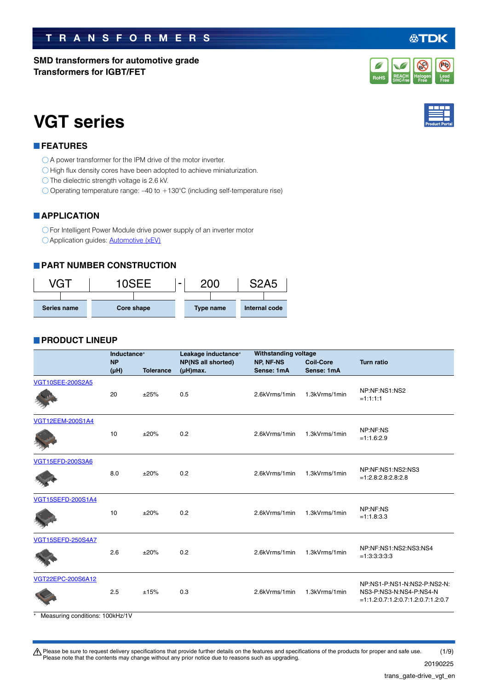#### $\bigwedge$  Please be sure to request delivery specifications that provide further details on the features and specifications of the products for proper and safe use. Please note that the contents may change without any prior notice due to reasons such as upgrading. 20190225 (1/9)

# **TRANSFORMERS**

**SMD transformers for automotive grade Transformers for IGBT/FET**

# **VGT series**

# **FEATURES**

- A power transformer for the IPM drive of the motor inverter.
- $\bigcirc$  High flux density cores have been adopted to achieve miniaturization.
- $\bigcirc$  The dielectric strength voltage is 2.6 kV.
- $\bigcirc$  Operating temperature range: -40 to +130°C (including self-temperature rise)

## **APPLICATION**

For Intelligent Power Module drive power supply of an inverter motor **C** Application guides: **[Automotive \(xEV\)](https://product.tdk.com/info/en/applicationguide/automotive_hv_xev/index.html?utm_source=trans_gate-drive_vgt_en.pdf&utm_medium=catalog)** 

## **PART NUMBER CONSTRUCTION**



## **PRODUCT LINEUP**

|                          | Inductance* |                  | Leakage inductance* | <b>Withstanding voltage</b> |                  |                                           |  |
|--------------------------|-------------|------------------|---------------------|-----------------------------|------------------|-------------------------------------------|--|
|                          | <b>NP</b>   |                  | NP(NS all shorted)  | NP, NF-NS                   | <b>Coil-Core</b> | <b>Turn ratio</b>                         |  |
|                          | $(\mu H)$   | <b>Tolerance</b> | $(\mu H)$ max.      | Sense: 1mA                  | Sense: 1mA       |                                           |  |
| <b>VGT10SEE-200S2A5</b>  | 20          | ±25%             | 0.5                 | 2.6kVrms/1min               | 1.3kVrms/1min    | NP:NF:NS1:NS2                             |  |
|                          |             |                  |                     |                             |                  | $=1:1:1:1$                                |  |
| <b>VGT12EEM-200S1A4</b>  |             |                  |                     |                             |                  |                                           |  |
|                          | 10          | ±20%             | 0.2                 | 2.6kVrms/1min               | 1.3kVrms/1min    | NP:NF:NS<br>$=1:1.6:2.9$                  |  |
|                          |             |                  |                     |                             |                  |                                           |  |
| VGT15EFD-200S3A6         |             |                  |                     |                             |                  |                                           |  |
|                          | 8.0         | ±20%             | 0.2                 | 2.6kVrms/1min               | 1.3kVrms/1min    | NP:NF:NS1:NS2:NS3<br>$=1:2.8:2.8:2.8:2.8$ |  |
|                          |             |                  |                     |                             |                  |                                           |  |
| VGT15SEFD-200S1A4        |             |                  |                     |                             |                  | NP:NF:NS                                  |  |
|                          | 10          | ±20%             | 0.2                 | 2.6kVrms/1min               | 1.3kVrms/1min    | $=1:1.8:3.3$                              |  |
| <b>VGT15SEFD-250S4A7</b> |             |                  |                     |                             |                  |                                           |  |
|                          | 2.6         | ±20%             | 0.2                 | 2.6kVrms/1min               | 1.3kVrms/1min    | NP:NF:NS1:NS2:NS3:NS4<br>$=1:3:3:3:3:3$   |  |
| VGT22EPC-200S6A12        |             |                  |                     |                             |                  | NP:NS1-P:NS1-N:NS2-P:NS2-N:               |  |
|                          | 2.5         | ±15%             | 0.3                 | 2.6kVrms/1min               | 1.3kVrms/1min    | NS3-P:NS3-N:NS4-P:NS4-N                   |  |
|                          |             |                  |                     |                             |                  | $=1:1.2:0.7:1.2:0.7:1.2:0.7:1.2:0.7$      |  |

\* Measuring conditions: 100kHz/1V





#### 公丁 "DK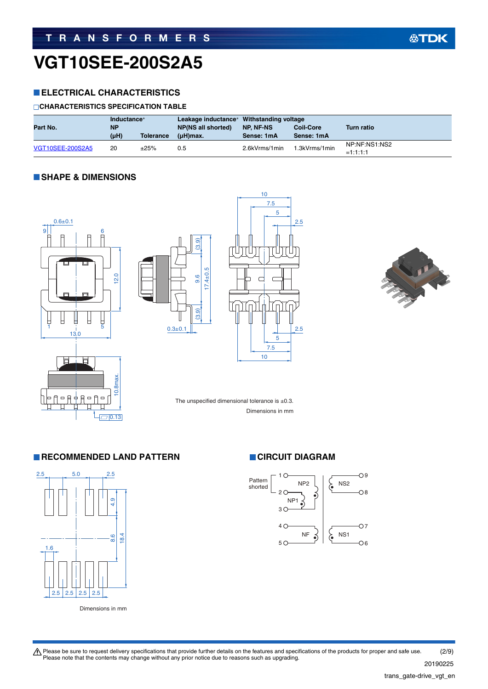### **ELECTRICAL CHARACTERISTICS**

#### **CHARACTERISTICS SPECIFICATION TABLE**

| Inductance*<br>Part No.<br><b>NP</b> |      |                  | Leakage inductance* Withstanding voltage<br><b>NP(NS all shorted)</b> | NP. NF-NS     | <b>Coil-Core</b> | <b>Turn ratio</b>           |
|--------------------------------------|------|------------------|-----------------------------------------------------------------------|---------------|------------------|-----------------------------|
|                                      | (µH) | <b>Tolerance</b> | (uH)max.                                                              | Sense: 1mA    | Sense: 1mA       |                             |
| VGT10SEE-200S2A5                     | 20   | ±25%             | 0.5                                                                   | 2.6kVrms/1min | 1.3kVrms/1min    | NP:NF:NS1:NS2<br>$=1:1:1:1$ |

#### **SHAPE & DIMENSIONS**









**公TDK** 



The unspecified dimensional tolerance is  $\pm 0.3$ .

Dimensions in mm

#### **RECOMMENDED LAND PATTERN CIRCUIT DIAGRAM**



Dimensions in mm



Please be sure to request delivery specifications that provide further details on the features and specifications of the products for proper and safe use.<br>Please note that the contents may change without any prior notice d 20190225 (2/9)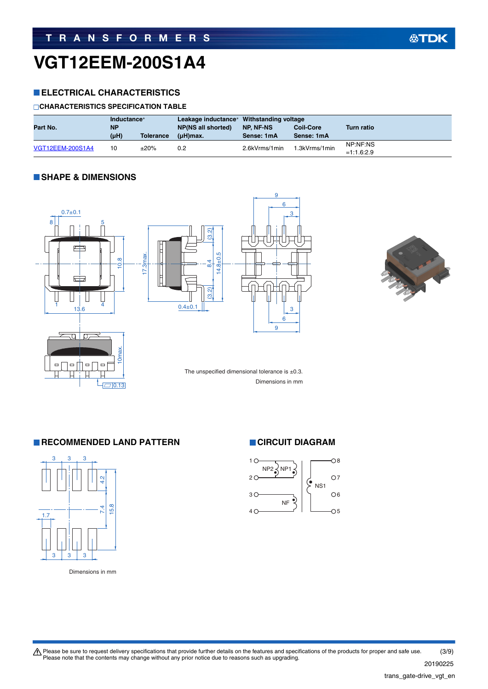#### **ELECTRICAL CHARACTERISTICS**

#### **CHARACTERISTICS SPECIFICATION TABLE**

| Inductance*<br>Part No.<br><b>NP</b> |      | Leakage inductance* Withstanding voltage<br><b>NP(NS all shorted)</b> | NP. NF-NS   | <b>Coil-Core</b> | <b>Turn ratio</b> |                          |
|--------------------------------------|------|-----------------------------------------------------------------------|-------------|------------------|-------------------|--------------------------|
|                                      | (µH) | <b>Tolerance</b>                                                      | $(uH)$ max. | Sense: 1mA       | Sense: 1mA        |                          |
| <b>VGT12EEM-200S1A4</b>              | 10   | ±20%                                                                  | 0.2         | 2.6kVrms/1min    | 1.3kVrms/1min     | NP:NF:NS<br>$=1:1.6:2.9$ |

#### **SHAPE & DIMENSIONS**





**RECOMMENDED LAND PATTERN CIRCUIT DIAGRAM** 







Please be sure to request delivery specifications that provide further details on the features and specifications of the products for proper and safe use.<br>Please note that the contents may change without any prior notice d 20190225 (3/9)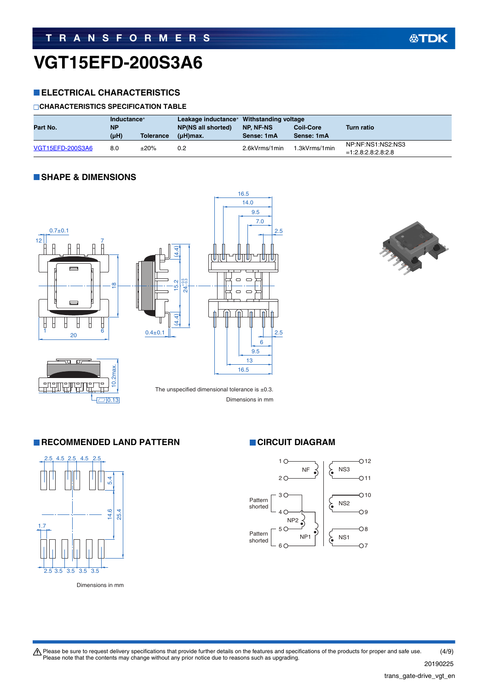### **ELECTRICAL CHARACTERISTICS**

#### **CHARACTERISTICS SPECIFICATION TABLE**

| Inductance*<br>Part No.<br><b>NP</b> |      | Leakage inductance* Withstanding voltage<br><b>NP(NS all shorted)</b> | NP. NF-NS   | <b>Coil-Core</b> | Turn ratio    |                                           |
|--------------------------------------|------|-----------------------------------------------------------------------|-------------|------------------|---------------|-------------------------------------------|
|                                      | (uH) | <b>Tolerance</b>                                                      | $(uH)$ max. | Sense: 1mA       | Sense: 1mA    |                                           |
| VGT15EFD-200S3A6                     | 8.0  | ±20%                                                                  | 0.2         | 2.6kVrms/1min    | 1.3kVrms/1min | NP:NF:NS1:NS2:NS3<br>$=1:2.8:2.8:2.8:2.8$ |

#### **SHAPE & DIMENSIONS**





**公TDK** 



The unspecified dimensional tolerance is  $\pm 0.3$ . Dimensions in mm

#### **RECOMMENDED LAND PATTERN CIRCUIT DIAGRAM**



Dimensions in mm



Please be sure to request delivery specifications that provide further details on the features and specifications of the products for proper and safe use.<br>Please note that the contents may change without any prior notice d (4/9)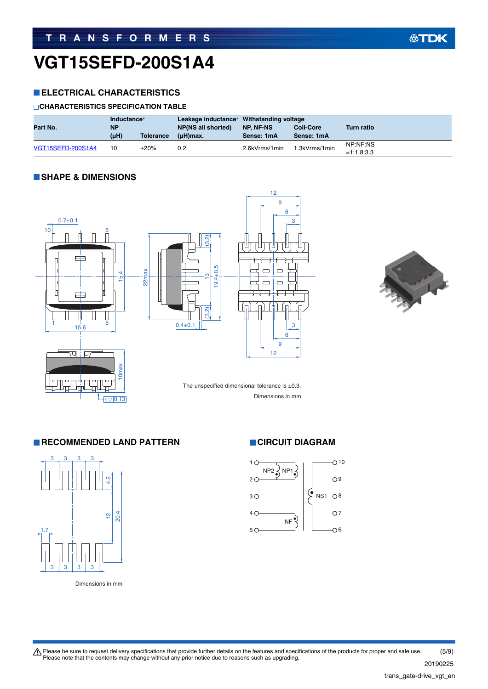# **VGT15SEFD-200S1A4**

### **ELECTRICAL CHARACTERISTICS**

#### **CHARACTERISTICS SPECIFICATION TABLE**

| Part No.          | Inductance*<br><b>NP</b> |                  | Leakage inductance* Withstanding voltage<br>NP(NS all shorted) | NP. NF-NS     | <b>Coil-Core</b> | <b>Turn ratio</b>        |
|-------------------|--------------------------|------------------|----------------------------------------------------------------|---------------|------------------|--------------------------|
|                   | (µH)                     | <b>Tolerance</b> | $(uH)$ max.                                                    | Sense: 1mA    | Sense: 1mA       |                          |
| VGT15SEFD-200S1A4 | 10                       | ±20%             | 0.2                                                            | 2.6kVrms/1min | 1.3kVrms/1min    | NP:NF:NS<br>$=1:1.8:3.3$ |

12

#### **SHAPE & DIMENSIONS**





Dimensions in mm

### **RECOMMENDED LAND PATTERN CIRCUIT DIAGRAM**

 $\Box$ 0.13



Dimensions in mm



Please be sure to request delivery specifications that provide further details on the features and specifications of the products for proper and safe use.<br>Please note that the contents may change without any prior notice d (5/9)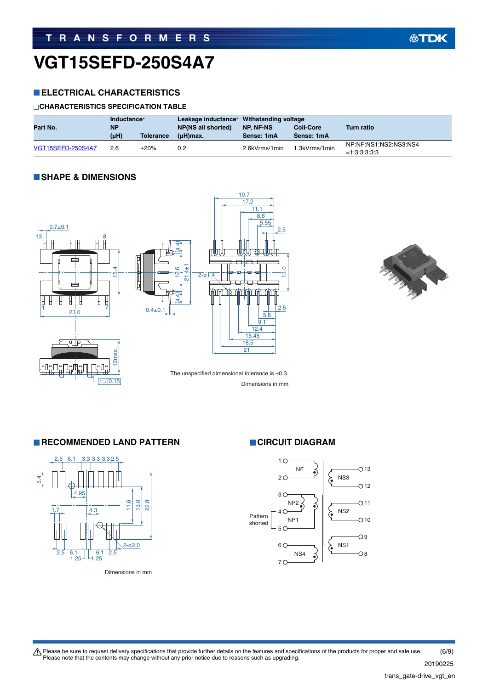# **VGT15SEFD-250S4A7**

#### **ELECTRICAL CHARACTERISTICS**

#### **CHARACTERISTICS SPECIFICATION TABLE**

| Part No.                 | Inductance*<br><b>NP</b> |                  | Leakage inductance* Withstanding voltage<br><b>NP(NS all shorted)</b> | <b>NP. NF-NS</b><br><b>Coil-Core</b> |               | <b>Turn ratio</b>                       |  |
|--------------------------|--------------------------|------------------|-----------------------------------------------------------------------|--------------------------------------|---------------|-----------------------------------------|--|
|                          | (µH)                     | <b>Tolerance</b> | (uH)max.                                                              | Sense: 1mA                           | Sense: 1mA    |                                         |  |
| <b>VGT15SEFD-250S4A7</b> | 2.6                      | ±20%             | 0.2                                                                   | 2.6kVrms/1min                        | 1.3kVrms/1min | NP:NF:NS1:NS2:NS3:NS4<br>$=1:3:3:3:3:3$ |  |

#### **SHAPE & DIMENSIONS**





**RECOMMENDED LAND PATTERN CIRCUIT DIAGRAM** 



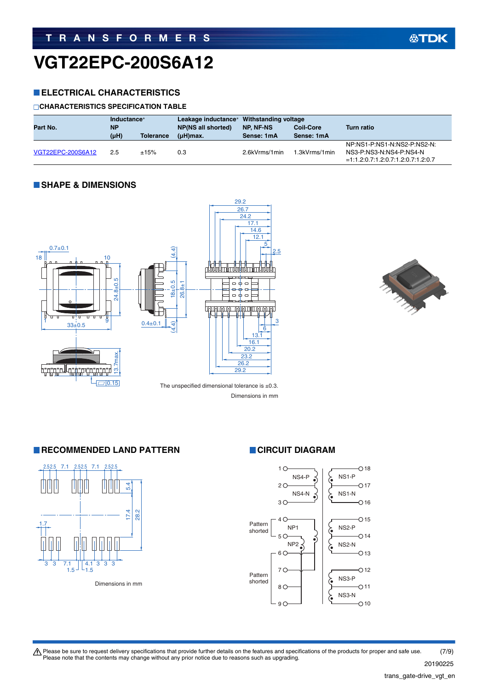# **VGT22EPC-200S6A12**

#### **ELECTRICAL CHARACTERISTICS**

#### **CHARACTERISTICS SPECIFICATION TABLE**

|                   | Inductance* |                  |                    | Leakage inductance* Withstanding voltage |                  |                                      |
|-------------------|-------------|------------------|--------------------|------------------------------------------|------------------|--------------------------------------|
| Part No.          | <b>NP</b>   |                  | NP(NS all shorted) | NP. NF-NS                                | <b>Coil-Core</b> | Turn ratio                           |
|                   | (µH)        | <b>Tolerance</b> | $(uH)$ max.        | Sense: 1mA                               | Sense: 1mA       |                                      |
|                   |             |                  |                    |                                          |                  | NP:NS1-P:NS1-N:NS2-P:NS2-N:          |
| VGT22EPC-200S6A12 | 2.5         | ±15%             | 0.3                | 2.6kVrms/1min                            | 1.3kVrms/1min    | NS3-P:NS3-N:NS4-P:NS4-N              |
|                   |             |                  |                    |                                          |                  | $=1:1.2:0.7:1.2:0.7:1.2:0.7:1.2:0.7$ |

#### **SHAPE & DIMENSIONS**





Dimensions in mm

#### **RECOMMENDED LAND PATTERN CIRCUIT DIAGRAM**



Dimensions in mm



Please be sure to request delivery specifications that provide further details on the features and specifications of the products for proper and safe use.<br>Please note that the contents may change without any prior notice d (7/9)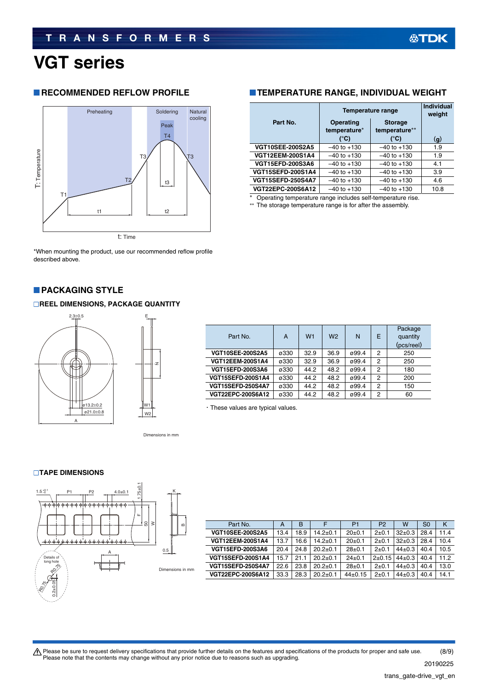Package quantity  $\frac{\text{(pcs/real)}}{250}$ 

# **VGT series**

#### **RECOMMENDED REFLOW PROFILE**



\*When mounting the product, use our recommended reflow profile described above.

#### **PACKAGING STYLE**

#### **REEL DIMENSIONS, PACKAGE QUANTITY**



Dimensions in mm

#### **TAPE DIMENSIONS**



| Part No.                 | A    | в    |                | P <sub>1</sub> | P <sub>2</sub> | w            | S <sub>0</sub> | κ    |
|--------------------------|------|------|----------------|----------------|----------------|--------------|----------------|------|
| <b>VGT10SEE-200S2A5</b>  | 13.4 | 18.9 | $14.2 \pm 0.1$ | $20+0.1$       | $2+0.1$        | $32 \pm 0.3$ | 28.4           | 11.4 |
| <b>VGT12EEM-200S1A4</b>  | 13.7 | 16.6 | $14.2 \pm 0.1$ | $20+0.1$       | $2+0.1$        | $32+0.3$     | 28.4           | 10.4 |
| <b>VGT15EFD-200S3A6</b>  | 20.4 | 24.8 | $20.2 + 0.1$   | $28+0.1$       | $2+0.1$        | $44+0.3$     | 40.4           | 10.5 |
| <b>VGT15SEFD-200S1A4</b> | 15.7 | 21.1 | $20.2 + 0.1$   | $24+0.1$       | $2+0.15$       | $44\pm0.3$   | 40.4           | 11.2 |
| <b>VGT15SEFD-250S4A7</b> | 22.6 | 23.8 | $20.2 \pm 0.1$ | $28+0.1$       | $2+0.1$        | $44\pm0.3$   | 40.4           | 13.0 |
| <b>VGT22EPC-200S6A12</b> | 33.3 | 28.3 | $20.2 \pm 0.1$ | $44+0.15$      | $2+0.1$        | $44\pm0.3$   | 40.4           | 14.1 |

### **TEMPERATURE RANGE, INDIVIDUAL WEIGHT**

|                          | <b>Temperature range</b>         | <b>Individual</b><br>weight     |              |
|--------------------------|----------------------------------|---------------------------------|--------------|
| Part No.                 | <b>Operating</b><br>temperature* | <b>Storage</b><br>temperature** |              |
|                          | (°C)                             | (°C)                            | $\mathbf{q}$ |
| <b>VGT10SEE-200S2A5</b>  | $-40$ to $+130$                  | $-40$ to $+130$                 | 1.9          |
| <b>VGT12EEM-200S1A4</b>  | $-40$ to $+130$                  | $-40$ to $+130$                 | 1.9          |
| <b>VGT15EFD-200S3A6</b>  | $-40$ to $+130$                  | $-40$ to $+130$                 | 4.1          |
| <b>VGT15SEFD-200S1A4</b> | $-40$ to $+130$                  | $-40$ to $+130$                 | 3.9          |
| <b>VGT15SEFD-250S4A7</b> | $-40$ to $+130$                  | $-40$ to $+130$                 | 4.6          |
| <b>VGT22EPC-200S6A12</b> | $-40$ to $+130$                  | $-40$ to $+130$                 | 10.8         |

Operating temperature range includes self-temperature rise.

\*\* The storage temperature range is for after the assembly.

Part No. A W1 W2 N E

**VGT12EEM-200S1A4** ø330 32.9 36.9 ø99.4 2 250 **VGT15EFD-200S3A6 ø330** 44.2 48.2 ø99.4 2 180 **VGT15SEFD-200S1A4** ø330 44.2 48.2 ø99.4 2 200 **VGT15SEFD-250S4A7** ø330 44.2 48.2 ø99.4 2 150 **VGT22EPC-200S6A12** ø330 44.2 48.2 ø99.4 2 60

**VGT10SEE-200S2A5** ø330 32.9 36.9 ø99.4 2 250

| A Please be sure to request delivery specifications that provide further details on the features and specifications of the products for proper and safe use. | (8/9)    |
|--------------------------------------------------------------------------------------------------------------------------------------------------------------|----------|
| Please note that the contents may change without any prior notice due to reasons such as upgrading.                                                          | -------- |

・These values are typical values.